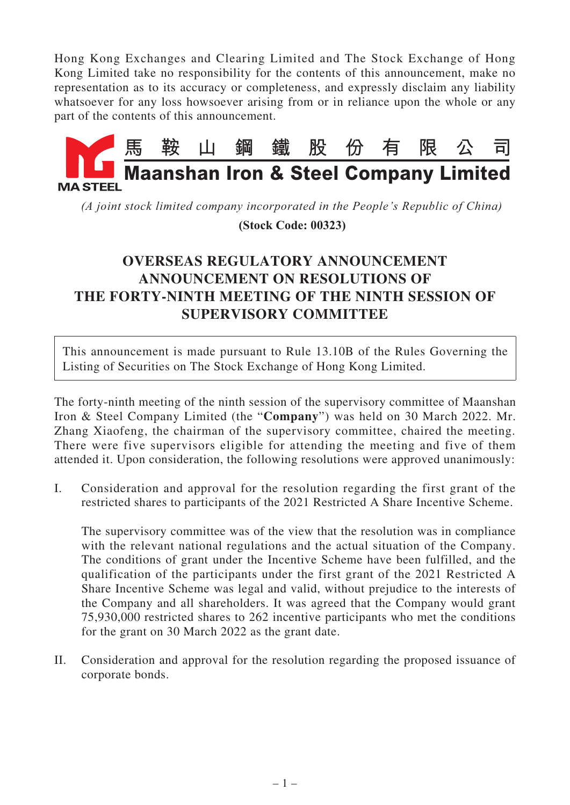Hong Kong Exchanges and Clearing Limited and The Stock Exchange of Hong Kong Limited take no responsibility for the contents of this announcement, make no representation as to its accuracy or completeness, and expressly disclaim any liability whatsoever for any loss howsoever arising from or in reliance upon the whole or any part of the contents of this announcement.



*(A joint stock limited company incorporated in the People's Republic of China)*

 **(Stock Code: 00323)**

## **OVERSEAS REGULATORY ANNOUNCEMENT ANNOUNCEMENT ON RESOLUTIONS OF THE FORTY-NINTH MEETING OF THE NINTH SESSION OF SUPERVISORY COMMITTEE**

This announcement is made pursuant to Rule 13.10B of the Rules Governing the Listing of Securities on The Stock Exchange of Hong Kong Limited.

The forty-ninth meeting of the ninth session of the supervisory committee of Maanshan Iron & Steel Company Limited (the "**Company**") was held on 30 March 2022. Mr. Zhang Xiaofeng, the chairman of the supervisory committee, chaired the meeting. There were five supervisors eligible for attending the meeting and five of them attended it. Upon consideration, the following resolutions were approved unanimously:

I. Consideration and approval for the resolution regarding the first grant of the restricted shares to participants of the 2021 Restricted A Share Incentive Scheme.

The supervisory committee was of the view that the resolution was in compliance with the relevant national regulations and the actual situation of the Company. The conditions of grant under the Incentive Scheme have been fulfilled, and the qualification of the participants under the first grant of the 2021 Restricted A Share Incentive Scheme was legal and valid, without prejudice to the interests of the Company and all shareholders. It was agreed that the Company would grant 75,930,000 restricted shares to 262 incentive participants who met the conditions for the grant on 30 March 2022 as the grant date.

II. Consideration and approval for the resolution regarding the proposed issuance of corporate bonds.